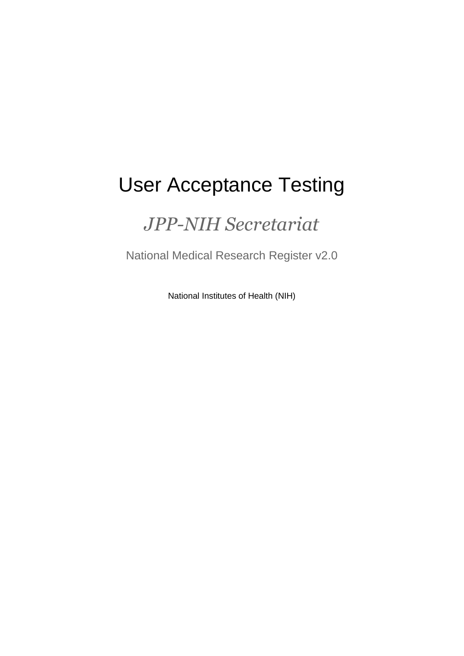# User Acceptance Testing

## *JPP-NIH Secretariat*

National Medical Research Register v2.0

National Institutes of Health (NIH)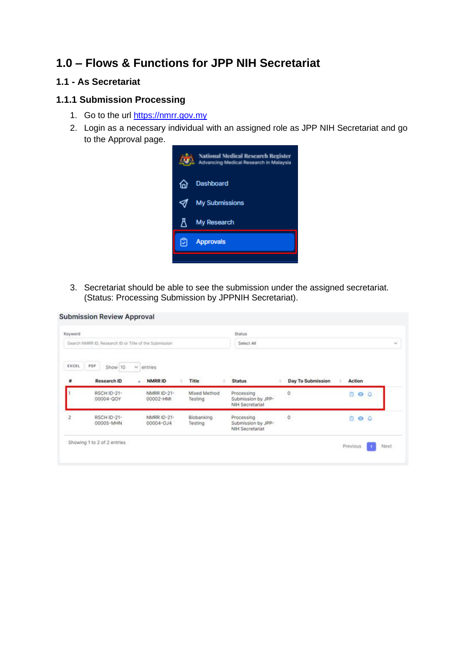## **1.0 – Flows & Functions for JPP NIH Secretariat**

### **1.1 - As Secretariat**

#### **1.1.1 Submission Processing**

- 1. Go to the url [https://nmrr.gov.my](https://nmrr.gov.my/)
- 2. Login as a necessary individual with an assigned role as JPP NIH Secretariat and go to the Approval page.



3. Secretariat should be able to see the submission under the assigned secretariat. (Status: Processing Submission by JPPNIH Secretariat).

| Keyword           | Search NMRR ID, Research ID or Title of the Submission |                                     |                         | Status<br>Select All                                       |                   |                 |   |      |
|-------------------|--------------------------------------------------------|-------------------------------------|-------------------------|------------------------------------------------------------|-------------------|-----------------|---|------|
| <b>EXCEL</b><br># | PDF<br>Show 10<br>Research ID                          | $\omega$<br>entries<br>NMRR ID<br>٠ | Title                   | <b>Status</b>                                              | Day To Submission | Action          |   |      |
|                   | <b>RSCH ID-21-</b><br>00004-QOY                        | NMRR ID-21-<br>00002-HMI            | Mixed Method<br>Testing | Processing<br>Submission by JPP-<br>NIH Secretariat        | $\ddot{o}$        | n<br>$\circ$    | ۵ |      |
| $\overline{2}$    | RSCH ID-21-<br>00005-MHN                               | NMRR ID-21-<br>00004-0J4            | Biobanking<br>Testing   | Processing<br>Submission by JPP-<br><b>NIH Secretariat</b> | $^\circ$          | 800             |   |      |
|                   | Showing 1 to 2 of 2 entries                            |                                     |                         |                                                            |                   | <b>Previous</b> |   | Next |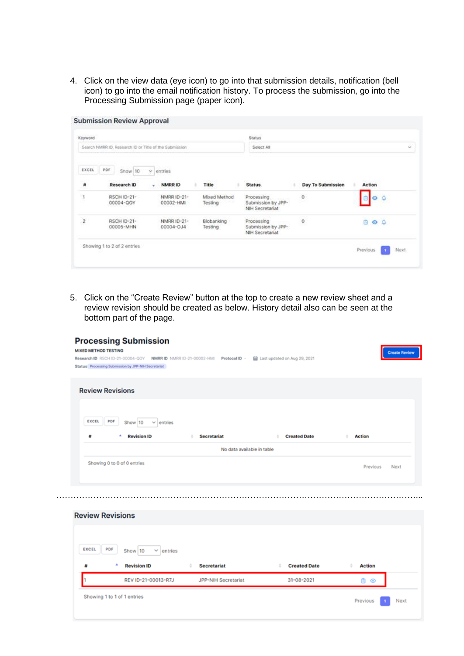4. Click on the view data (eye icon) to go into that submission details, notification (bell icon) to go into the email notification history. To process the submission, go into the Processing Submission page (paper icon).

| Action            |
|-------------------|
| ۵<br>⊙            |
| Ġ,<br>$O$ $O$     |
| Day To Submission |

5. Click on the "Create Review" button at the top to create a new review sheet and a review revision should be created as below. History detail also can be seen at the bottom part of the page.

| Research ID RSCH ID-21-00004-QOY NMRR ID NMRR ID-21-00002-HMI Protocol ID -<br>Status Processing Submission by JPP-NIH Secretariat<br><b>Review Revisions</b><br>Show 10<br>$\vee$ entries<br><b>Revision ID</b> |                                                                                                                |                            | Last updated on Aug 29, 2021 |                     |      |
|------------------------------------------------------------------------------------------------------------------------------------------------------------------------------------------------------------------|----------------------------------------------------------------------------------------------------------------|----------------------------|------------------------------|---------------------|------|
|                                                                                                                                                                                                                  |                                                                                                                |                            |                              |                     |      |
|                                                                                                                                                                                                                  |                                                                                                                |                            |                              |                     |      |
|                                                                                                                                                                                                                  | <b>Secretariat</b><br>ö.                                                                                       |                            | <b>Created Date</b><br>٠     | <b>Action</b>       |      |
|                                                                                                                                                                                                                  |                                                                                                                | No data available in table |                              |                     |      |
|                                                                                                                                                                                                                  |                                                                                                                |                            |                              | Previous            | Next |
|                                                                                                                                                                                                                  |                                                                                                                |                            |                              |                     |      |
|                                                                                                                                                                                                                  |                                                                                                                |                            |                              |                     |      |
|                                                                                                                                                                                                                  |                                                                                                                |                            |                              |                     |      |
| $\vee$ entries                                                                                                                                                                                                   |                                                                                                                |                            |                              |                     |      |
|                                                                                                                                                                                                                  | <b>Secretariat</b><br>٥                                                                                        |                            |                              | <b>Action</b>       |      |
|                                                                                                                                                                                                                  |                                                                                                                |                            | 31-08-2021                   | 80                  |      |
|                                                                                                                                                                                                                  | Showing 0 to 0 of 0 entries<br><b>Review Revisions</b><br>Show 10<br><b>Revision ID</b><br>REV ID-21-00013-R7J |                            | JPP-NIH Secretariat          | <b>Created Date</b> |      |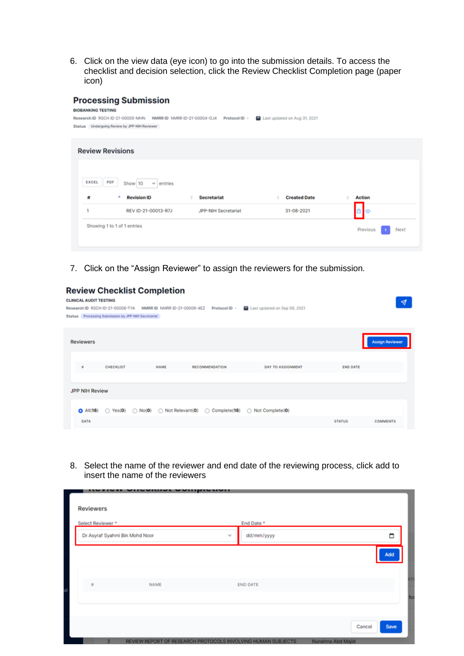6. Click on the view data (eye icon) to go into the submission details. To access the checklist and decision selection, click the Review Checklist Completion page (paper icon)

### **Processing Submission**

| Research ID RSCH ID-21-00005-MHN             |                           | NMRR ID NMRR ID-21-00004-OJ4<br>Protocol ID - | Last updated on Aug 31, 2021 |                |
|----------------------------------------------|---------------------------|-----------------------------------------------|------------------------------|----------------|
| Status Undergoing Review by JPP-NIH Reviewer |                           |                                               |                              |                |
| <b>Review Revisions</b>                      |                           |                                               |                              |                |
|                                              |                           |                                               |                              |                |
| PDF<br>EXCEL                                 | Show 10<br>$\vee$ entries |                                               |                              |                |
| 彗                                            | <b>Revision ID</b>        | <b>Secretariat</b>                            | <b>Created Date</b>          | <b>Action</b>  |
|                                              | REV ID-21-00013-R7J       | JPP-NIH Secretariat                           | 31-08-2021                   | 0 <sup>o</sup> |

7. Click on the "Assign Reviewer" to assign the reviewers for the submission.

#### **Review Checklist Completion**

| <b>CLINICAL AUDIT TESTING</b>                                                                                         |                 | ∢                      |
|-----------------------------------------------------------------------------------------------------------------------|-----------------|------------------------|
| Last updated on Sep 06, 2021<br>NMRR ID NMRR ID-21-00006-4EZ<br>Protocol ID -<br>Research ID RSCH ID-21-00008-TYA     |                 |                        |
| Status Processing Submission by JPP-NIH Secretariat                                                                   |                 |                        |
|                                                                                                                       |                 |                        |
| <b>Reviewers</b>                                                                                                      |                 | <b>Assign Reviewer</b> |
|                                                                                                                       |                 |                        |
| CHECKLIST<br><b>NAME</b><br>RECOMMENDATION<br><b>DAY TO ASSIGNMENT</b><br>$\theta$                                    | <b>END DATE</b> |                        |
| <b>JPP NIH Review</b>                                                                                                 |                 |                        |
|                                                                                                                       |                 |                        |
| $\bigcirc$ All(18) $\bigcirc$ Yes(0) $\bigcirc$ No(0) $\bigcirc$ Not Relevant(0)<br>◯ Complete(18)<br>Not Complete(0) |                 |                        |
| DATA                                                                                                                  | <b>STATUS</b>   | <b>COMMENTS</b>        |
|                                                                                                                       |                 |                        |

8. Select the name of the reviewer and end date of the reviewing process, click add to insert the name of the reviewers

| <b>Reviewers</b>               |      |                                                              |                                      |
|--------------------------------|------|--------------------------------------------------------------|--------------------------------------|
| Select Reviewer *              |      | End Date *                                                   |                                      |
| Dr Asyraf Syahmi Bin Mohd Noor |      | dd/mm/yyyy<br>$\mathbf{v}_\mathrm{d}$                        | □                                    |
|                                |      |                                                              | Add                                  |
| $\tilde{n}$                    | NAME | <b>END DATE</b>                                              |                                      |
|                                |      |                                                              |                                      |
|                                |      |                                                              |                                      |
| $\overline{\mathbf{3}}$        |      | REVIEW REPORT OF RESEARCH PROTOCOLS INVOLVING HUMAN SUBJECTS | Cancel<br>Save<br>Nurainna Abd Majid |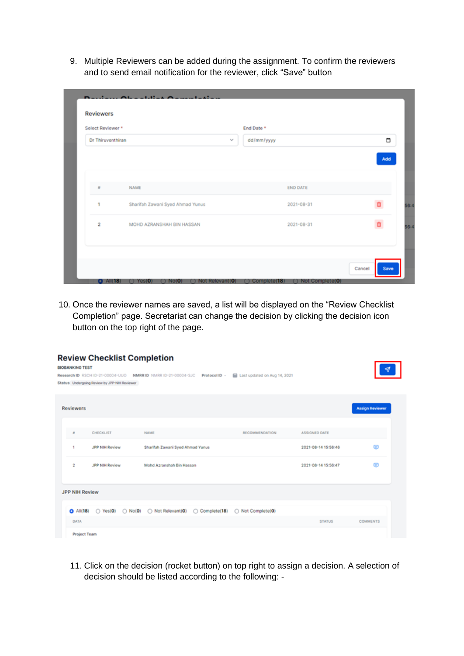9. Multiple Reviewers can be added during the assignment. To confirm the reviewers and to send email notification for the reviewer, click "Save" button

| Select Reviewer *       |                                  |  | End Date * |                 |  |     |
|-------------------------|----------------------------------|--|------------|-----------------|--|-----|
|                         | Dr Thiruventhiran                |  | dd/mm/yyyy |                 |  |     |
|                         |                                  |  |            |                 |  | Add |
| $\mathbf{u}$            | NAME                             |  |            | <b>END DATE</b> |  |     |
| 1                       | Sharifah Zawani Syed Ahmad Yunus |  |            | 2021-08-31      |  |     |
| $\overline{\mathbf{2}}$ | MOHD AZRANSHAH BIN HASSAN        |  |            | 2021-08-31      |  |     |
|                         |                                  |  |            |                 |  |     |

10. Once the reviewer names are saved, a list will be displayed on the "Review Checklist Completion" page. Secretariat can change the decision by clicking the decision icon button on the top right of the page.

| <b>BIOBANKING TEST</b> | <b>Review Checklist Completion</b><br>Research ID RSCH ID-21-00004-UUO<br>Status Undergoing Review by JPP-NIH Reviewer | NMRRID NMRRID-21-00004-SJC<br>Protocol ID -                                     | Last updated on Aug 14, 2021 |                     |                        |
|------------------------|------------------------------------------------------------------------------------------------------------------------|---------------------------------------------------------------------------------|------------------------------|---------------------|------------------------|
| <b>Reviewers</b>       |                                                                                                                        |                                                                                 |                              |                     | <b>Assign Reviewer</b> |
| $\mathbf{u}$           | <b>CHECKLIST</b>                                                                                                       | NAME                                                                            | RECOMMENDATION               | ASSIGNED DATE       |                        |
| ٠                      | JPP NIH Review                                                                                                         | Sharifah Zawani Syed Ahmad Yunus                                                |                              | 2021-08-14 15:56:46 | ⊜                      |
| 2                      | JPP NIH Review                                                                                                         | Mohd Azranshah Bin Hassan                                                       |                              | 2021-08-14 15:56:47 | G                      |
| <b>JPP NIH Review</b>  |                                                                                                                        |                                                                                 |                              |                     |                        |
| $O$ All(18)            |                                                                                                                        | $\bigcirc$ Yes(0) $\bigcirc$ No(0) $\bigcirc$ Not Relevant(0)<br>◯ Complete(18) | ◯ Not Complete(0)            |                     |                        |
| DATA                   |                                                                                                                        |                                                                                 |                              | <b>STATUS</b>       | <b>COMMENTS</b>        |
| <b>Project Team</b>    |                                                                                                                        |                                                                                 |                              |                     |                        |

11. Click on the decision (rocket button) on top right to assign a decision. A selection of decision should be listed according to the following: -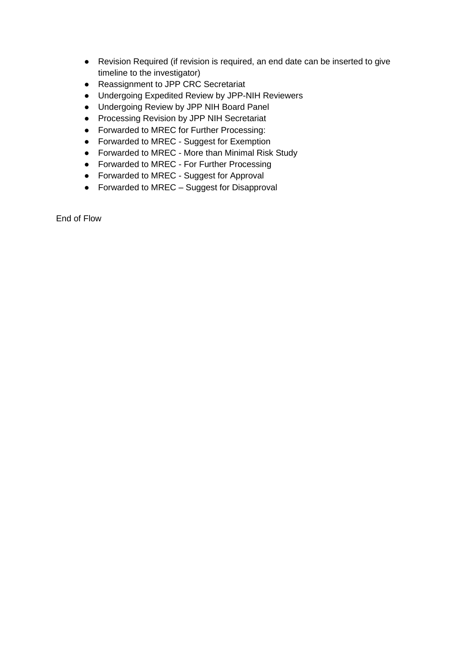- Revision Required (if revision is required, an end date can be inserted to give timeline to the investigator)
- Reassignment to JPP CRC Secretariat
- Undergoing Expedited Review by JPP-NIH Reviewers
- Undergoing Review by JPP NIH Board Panel
- Processing Revision by JPP NIH Secretariat
- Forwarded to MREC for Further Processing:
- Forwarded to MREC Suggest for Exemption
- Forwarded to MREC More than Minimal Risk Study
- Forwarded to MREC For Further Processing
- Forwarded to MREC Suggest for Approval
- Forwarded to MREC Suggest for Disapproval

End of Flow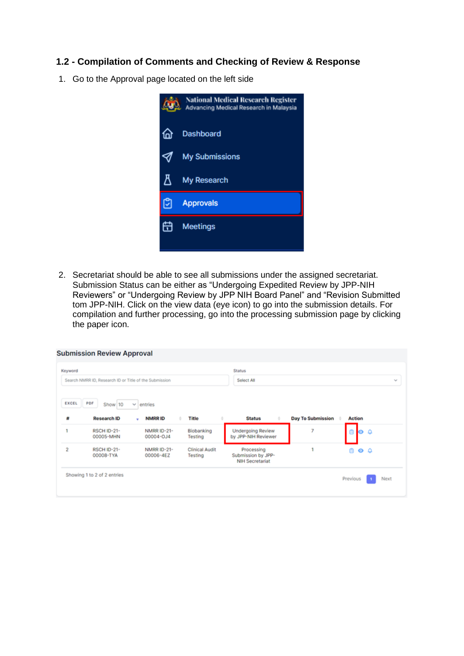#### **1.2 - Compilation of Comments and Checking of Review & Response**

1. Go to the Approval page located on the left side



2. Secretariat should be able to see all submissions under the assigned secretariat. Submission Status can be either as "Undergoing Expedited Review by JPP-NIH Reviewers" or "Undergoing Review by JPP NIH Board Panel" and "Revision Submitted tom JPP-NIH. Click on the view data (eye icon) to go into the submission details. For compilation and further processing, go into the processing submission page by clicking the paper icon.

| Keyword<br>Search NMRR ID, Research ID or Title of the Submission |                                 |                                         | <b>Status</b><br>Select All      |                                                            |                          |                     |  |
|-------------------------------------------------------------------|---------------------------------|-----------------------------------------|----------------------------------|------------------------------------------------------------|--------------------------|---------------------|--|
| <b>EXCEL</b><br>PDF<br>雌                                          | Show 10<br><b>Research ID</b>   | entries<br>$\sim$<br><b>NMRRID</b><br>٠ | Title                            | <b>Status</b>                                              | <b>Day To Submission</b> | <b>Action</b>       |  |
| ٠                                                                 | <b>RSCH ID-21-</b><br>00005-MHN | NMRR ID-21-<br>00004-OJ4                | Biobanking<br>Testing            | <b>Undergoing Review</b><br>by JPP-NIH Reviewer            | 7                        | ۵<br>$\bullet$<br>⋒ |  |
| 2                                                                 | <b>RSCH ID-21-</b><br>00008-TYA | NMRR ID-21-<br>00006-4EZ                | <b>Clinical Audit</b><br>Testing | Processing<br>Submission by JPP-<br><b>NIH Secretariat</b> |                          | Ō.<br>ه ه           |  |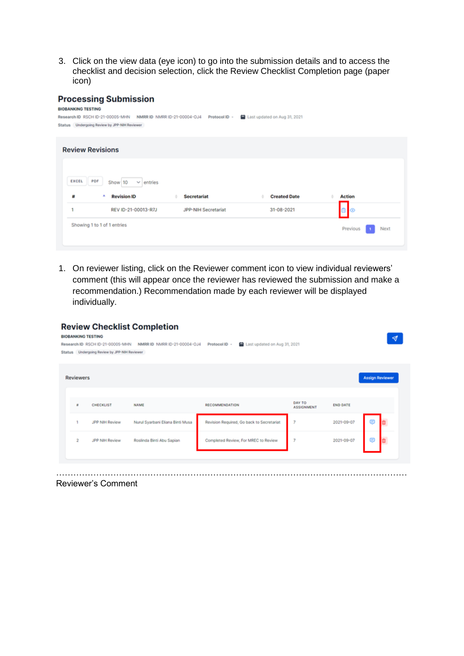3. Click on the view data (eye icon) to go into the submission details and to access the checklist and decision selection, click the Review Checklist Completion page (paper icon)

#### **Processing Submission**

| <b>BIOBANKING TESTING</b>                                                                                      |                  |
|----------------------------------------------------------------------------------------------------------------|------------------|
| Last updated on Aug 31, 2021<br>Research ID RSCH ID-21-00005-MHN NMRR ID NMRR ID-21-00004-0J4<br>Protocol ID - |                  |
| Status Undergoing Review by JPP-NIH Reviewer                                                                   |                  |
|                                                                                                                |                  |
|                                                                                                                |                  |
| <b>Review Revisions</b>                                                                                        |                  |
|                                                                                                                |                  |
|                                                                                                                |                  |
| PDF<br><b>EXCEL</b><br>Show 10<br>$\vee$ entries                                                               |                  |
| <b>Revision ID</b><br><b>Created Date</b>                                                                      | <b>Action</b>    |
| 慧<br><b>Secretariat</b>                                                                                        |                  |
| REV ID-21-00013-R7J<br>JPP-NIH Secretariat<br>31-08-2021                                                       | $\circ$          |
| Showing 1 to 1 of 1 entries                                                                                    | Previous<br>Next |

1. On reviewer listing, click on the Reviewer comment icon to view individual reviewers' comment (this will appear once the reviewer has reviewed the submission and make a recommendation.) Recommendation made by each reviewer will be displayed individually.

| Status           | Research ID RSCH ID-21-00005-MHN<br>Undergoing Review by JPP-NIH Reviewer | NMRR ID NMRR ID-21-00004-OJ4     | Last updated on Aug 31, 2021<br>Protocol ID - |                             |                 |                |                        |
|------------------|---------------------------------------------------------------------------|----------------------------------|-----------------------------------------------|-----------------------------|-----------------|----------------|------------------------|
|                  |                                                                           |                                  |                                               |                             |                 |                |                        |
| <b>Reviewers</b> |                                                                           |                                  |                                               |                             |                 |                | <b>Assign Reviewer</b> |
|                  |                                                                           |                                  |                                               |                             |                 |                |                        |
| ٠                | <b>CHECKLIST</b>                                                          | <b>NAME</b>                      | RECOMMENDATION                                | DAY TO<br><b>ASSIGNMENT</b> | <b>END DATE</b> |                |                        |
| 1                | JPP NIH Review                                                            | Nurul Syarbani Eliana Binti Musa | Revision Required, Go back to Secretariat     | 7                           | 2021-09-07      | $\circledcirc$ |                        |
| $\overline{2}$   | JPP NIH Review                                                            | Roslinda Binti Abu Sapian        | Completed Review, For MREC to Review          | 7                           | 2021-09-07      | ⊜              |                        |
|                  |                                                                           |                                  |                                               |                             |                 |                |                        |

Reviewer's Comment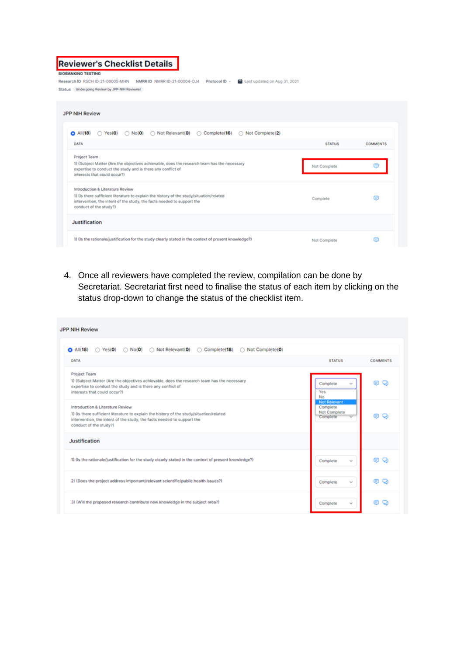| <b>Reviewer's Checklist Details</b><br><b>BIOBANKING TESTING</b><br>Research ID RSCH ID-21-00005-MHN<br>Last updated on Aug 31, 2021<br>NMRR ID NMRR ID-21-00004-OJ4<br>Protocol ID -<br>Status Undergoing Review by JPP-NIH Reviewer |               |                 |
|---------------------------------------------------------------------------------------------------------------------------------------------------------------------------------------------------------------------------------------|---------------|-----------------|
| <b>JPP NIH Review</b>                                                                                                                                                                                                                 |               |                 |
| ◯ Not Relevant(0)<br>$\bigcirc$ Complete(16)<br>$\bigcirc$ All(18)<br>$\bigcirc$ Yes(0) $\bigcirc$ No(0)<br>Not Complete(2)<br>DATA                                                                                                   | <b>STATUS</b> | <b>COMMENTS</b> |
| <b>Project Team</b><br>1) (Subject Matter (Are the objectives achievable, does the research team has the necessary<br>expertise to conduct the study and is there any conflict of<br>interests that could occur?)                     | Not Complete  |                 |
| Introduction & Literature Review<br>1) (is there sufficient literature to explain the history of the study/situation/related<br>intervention, the intent of the study, the facts needed to support the<br>conduct of the study?)      | Complete      | ⊜               |
| Justification                                                                                                                                                                                                                         |               |                 |
| 1) (Is the rationale/justification for the study clearly stated in the context of present knowledge?)                                                                                                                                 | Not Complete  | ⊟               |

4. Once all reviewers have completed the review, compilation can be done by Secretariat. Secretariat first need to finalise the status of each item by clicking on the status drop-down to change the status of the checklist item.

| <b>JPP NIH Review</b>                                                                                                                                                                                                            |                                                                                        |                 |
|----------------------------------------------------------------------------------------------------------------------------------------------------------------------------------------------------------------------------------|----------------------------------------------------------------------------------------|-----------------|
| $\bigcirc$ No(0) $\bigcirc$ Not Relevant(0)<br>◯ Complete(18)<br>◯ Not Complete(0)<br>$O$ All $(18)$<br>$\bigcirc$ Yes(O)                                                                                                        |                                                                                        |                 |
| <b>DATA</b>                                                                                                                                                                                                                      | <b>STATUS</b>                                                                          | <b>COMMENTS</b> |
| <b>Project Team</b><br>1) (Subject Matter (Are the objectives achievable, does the research team has the necessary<br>expertise to conduct the study and is there any conflict of<br>interests that could occur?)                | Complete<br>Yes<br><b>No</b>                                                           | o<br>⊟          |
| Introduction & Literature Review<br>1) (Is there sufficient literature to explain the history of the study/situation/related<br>intervention, the intent of the study, the facts needed to support the<br>conduct of the study?) | <b>Not Relevant</b><br>Complete<br>Not Complete<br>Complete<br>$\overline{\mathbf{v}}$ | m               |
| Justification                                                                                                                                                                                                                    |                                                                                        |                 |
| 1) (Is the rationale/justification for the study clearly stated in the context of present knowledge?)                                                                                                                            | Complete<br>$\mathcal{N}_{\mathbf{p}}(\mathcal{C})$                                    | Q<br>m          |
| 2) (Does the project address important/relevant scientific/public health issues?)                                                                                                                                                | Complete<br>$\sim$                                                                     | o<br>⊟          |
| 3) (Will the proposed research contribute new knowledge in the subject area?)                                                                                                                                                    | Complete<br>$\mathcal{N}_{\mathbf{R}}$                                                 | o<br>œ          |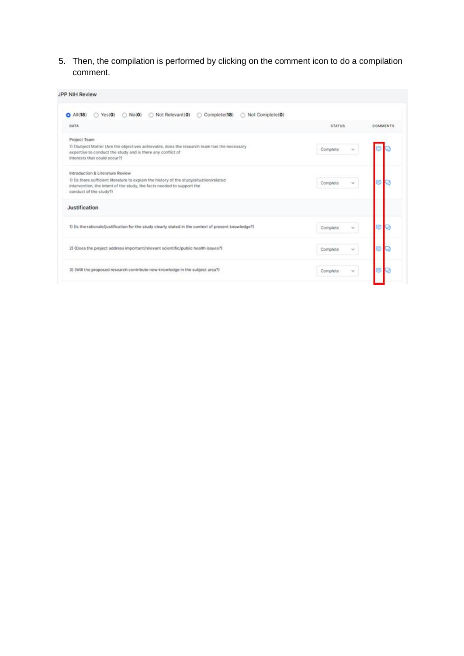5. Then, the compilation is performed by clicking on the comment icon to do a compilation comment.

| JPP NIH Review                                                                                                                                                                               |               |          |
|----------------------------------------------------------------------------------------------------------------------------------------------------------------------------------------------|---------------|----------|
| Not Relevant(0)<br>Complete(18)<br>Not Complete(0)<br>$\bigcirc$ No(0)<br>All(18)<br>Yes(0)<br>o<br>$\circ$                                                                                  |               |          |
| DATA                                                                                                                                                                                         | <b>STATUS</b> | COMMENTS |
| Project Team                                                                                                                                                                                 |               |          |
| 1) (Subject Matter (Are the objectives achievable, does the research team has the necessary<br>expertise to conduct the study and is there any conflict of<br>interests that could occur?)   | Complete      |          |
| Introduction & Literature Review                                                                                                                                                             |               |          |
| 1) (is there sufficient literature to explain the history of the study/situation/related<br>intervention, the intent of the study, the facts needed to support the<br>conduct of the study?) | Complete      |          |
| Justification                                                                                                                                                                                |               |          |
| 1) (is the rationale/justification for the study clearly stated in the context of present knowledge?)                                                                                        | Complete      |          |
| 2) (Does the project address important/relevant scientific/public health issues?)                                                                                                            | Complete      |          |
| 3) (Will the proposed research contribute new knowledge in the subject area?)                                                                                                                | Complete<br>× |          |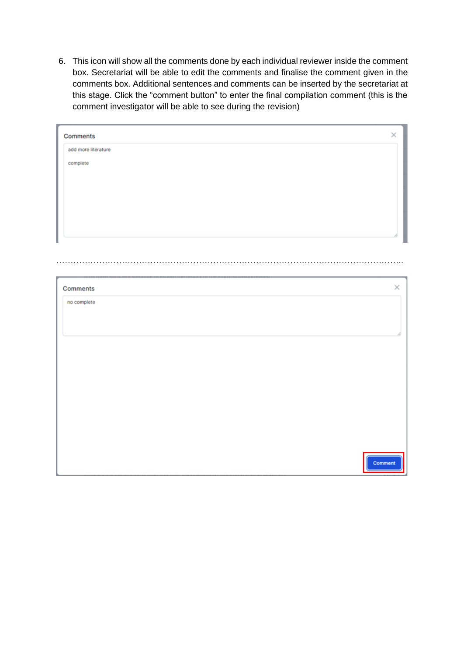6. This icon will show all the comments done by each individual reviewer inside the comment box. Secretariat will be able to edit the comments and finalise the comment given in the comments box. Additional sentences and comments can be inserted by the secretariat at this stage. Click the "comment button" to enter the final compilation comment (this is the comment investigator will be able to see during the revision)

| add more literature |          |
|---------------------|----------|
| complete            |          |
|                     |          |
|                     |          |
|                     |          |
|                     |          |
|                     |          |
|                     |          |
|                     |          |
|                     |          |
|                     |          |
|                     |          |
|                     | $\times$ |
| Comments            |          |
|                     |          |
| no complete         |          |
|                     |          |
|                     |          |
|                     |          |
|                     |          |
|                     |          |
|                     |          |
|                     |          |
|                     |          |
|                     |          |
|                     |          |
|                     |          |
|                     |          |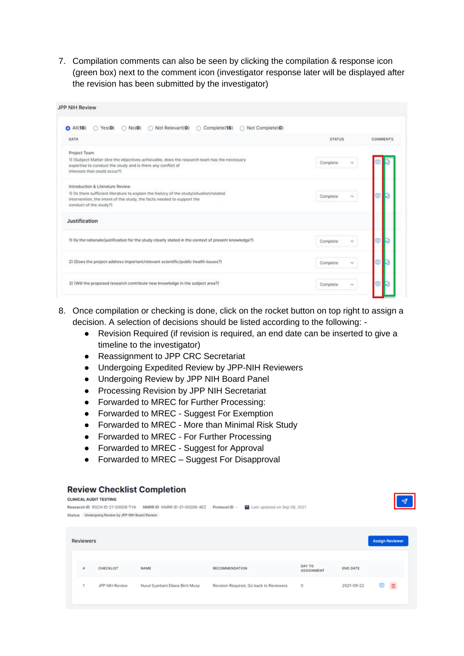7. Compilation comments can also be seen by clicking the compilation & response icon (green box) next to the comment icon (investigator response later will be displayed after the revision has been submitted by the investigator)

| Not Complete(0)<br>Not Relevant(0)<br>Complete(18)<br>$O$ All $(18)$<br>Yes(0)<br>No(0)                                                                                                      |                    |          |
|----------------------------------------------------------------------------------------------------------------------------------------------------------------------------------------------|--------------------|----------|
| DATA                                                                                                                                                                                         | <b>STATUS</b>      | COMMENTS |
| Project Team                                                                                                                                                                                 |                    |          |
| 1) (Subject Matter (Are the objectives achievable, does the research team has the necessary<br>expertise to conduct the study and is there any conflict of<br>interests that could occur?)   | Complete<br>$\sim$ |          |
| Introduction & Literature Review                                                                                                                                                             |                    |          |
| 1) (is there sufficient literature to explain the history of the study/situation/related<br>intervention, the intent of the study, the facts needed to support the<br>conduct of the study?) | Complete<br>$\sim$ |          |
| Justification                                                                                                                                                                                |                    |          |
| 1) (is the rationale/justification for the study clearly stated in the context of present knowledge?)                                                                                        | Complete<br>$\sim$ |          |
| 2) (Does the project address important/relevant scientific/public health issues?)                                                                                                            | Complete           |          |
| 3) (Will the proposed research contribute new knowledge in the subject area?)                                                                                                                | Complete           |          |

- 8. Once compilation or checking is done, click on the rocket button on top right to assign a decision. A selection of decisions should be listed according to the following: -
	- Revision Required (if revision is required, an end date can be inserted to give a timeline to the investigator)
	- Reassignment to JPP CRC Secretariat
	- Undergoing Expedited Review by JPP-NIH Reviewers
	- Undergoing Review by JPP NIH Board Panel
	- Processing Revision by JPP NIH Secretariat
	- Forwarded to MREC for Further Processing:
	- Forwarded to MREC Suggest For Exemption
	- Forwarded to MREC More than Minimal Risk Study
	- Forwarded to MREC For Further Processing
	- Forwarded to MREC Suggest for Approval
	- Forwarded to MREC Suggest For Disapproval

#### **CLINICAL AUDIT TESTING** Research ID RSCH ID-21-00008-TYA NMRR ID NMRR ID-21-00006-4EZ Protocol ID - 自 Last updated on Sep 08, 2021 Status Undergoing Review by JPP-NH Board Review **Assign Reviewe** Reviewers DAY TO<br>ASSIGNMENT CHECKLIST NAME RECOMMENDATION **END DATE** JPP NIH Review Nurul Syarbani Eliana Binti Musa Revision Required, Go back to Reviewers 2021-09-22 日 面  $\circ$

#### **Review Checklist Completion**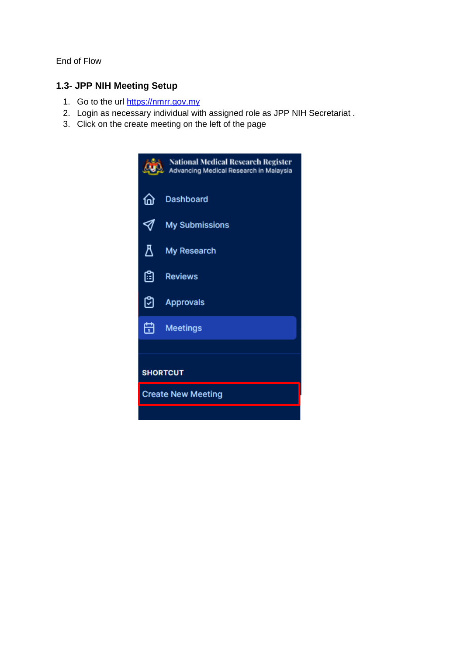End of Flow

## **1.3- JPP NIH Meeting Setup**

- 1. Go to the url [https://nmrr.gov.my](https://nmrr.gov.my/)
- 2. Login as necessary individual with assigned role as JPP NIH Secretariat .
- 3. Click on the create meeting on the left of the page

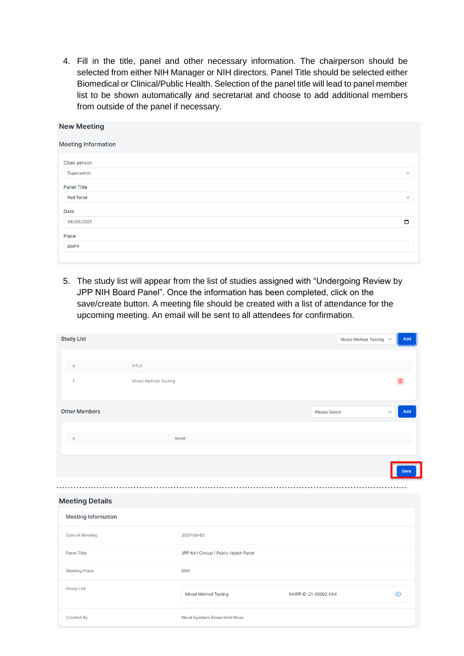4. Fill in the title, panel and other necessary information. The chairperson should be selected from either NIH Manager or NIH directors. Panel Title should be selected either Biomedical or Clinical/Public Health. Selection of the panel title will lead to panel member list to be shown automatically and secretariat and choose to add additional members from outside of the panel if necessary.

| <b>New Meeting</b>         |              |
|----------------------------|--------------|
| <b>Meeting Information</b> |              |
| Chair person               |              |
| Superadmin                 | $\checkmark$ |
| <b>Panel Title</b>         |              |
| <b>Red Panel</b>           | $\checkmark$ |
| Date                       |              |
| 08/09/2021                 | $\Box$       |
| Place                      |              |
| BMP#                       |              |
|                            |              |

5. The study list will appear from the list of studies assigned with "Undergoing Review by JPP NIH Board Panel". Once the information has been completed, click on the save/create button. A meeting file should be created with a list of attendance for the upcoming meeting. An email will be sent to all attendees for confirmation.

| <b>Study List</b>          |                             |                                        |                      | Mixed Method Testing $\sim$ | Add     |
|----------------------------|-----------------------------|----------------------------------------|----------------------|-----------------------------|---------|
|                            |                             |                                        |                      |                             |         |
| $\#$                       | <b>TITLE</b>                |                                        |                      |                             |         |
| $\mathbf{1}$               | <b>Mixed Method Testing</b> |                                        |                      |                             | 亩       |
| <b>Other Members</b>       |                             |                                        | <b>Please Select</b> | $\ddot{\mathbf{v}}$         | Add     |
| #                          |                             | <b>NAME</b>                            |                      |                             |         |
|                            |                             |                                        |                      |                             | Save    |
| <b>Meeting Details</b>     |                             |                                        |                      |                             |         |
| <b>Meeting Information</b> |                             |                                        |                      |                             |         |
| Date of Meeting            |                             | 2021-09-02                             |                      |                             |         |
| <b>Panel Title</b>         |                             | JPP-NIH Clinical / Public Health Panel |                      |                             |         |
| <b>Meeting Place</b>       |                             | BM <sub>6</sub>                        |                      |                             |         |
| <b>Study List</b>          |                             | <b>Mixed Method Testing</b>            | NMRR ID-21-00002-HMI |                             | $\odot$ |
|                            |                             |                                        |                      |                             |         |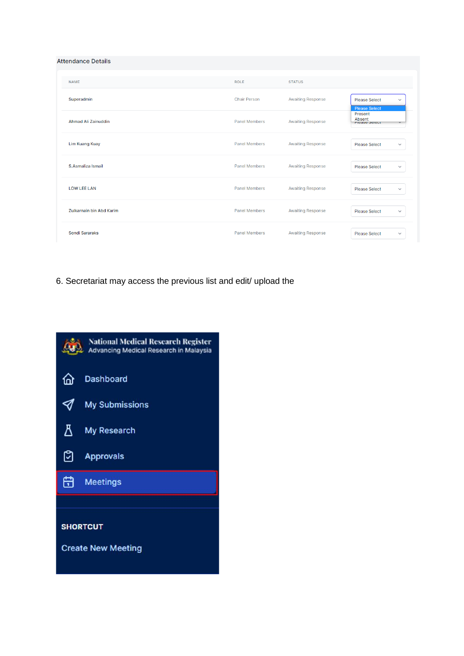**Attendance Details** 

| <b>NAME</b>                | <b>ROLE</b>          | <b>STATUS</b>            |                                                              |
|----------------------------|----------------------|--------------------------|--------------------------------------------------------------|
| Superadmin                 | <b>Chair Person</b>  | <b>Awaiting Response</b> | <b>Please Select</b><br>$\checkmark$<br><b>Please Select</b> |
| <b>Ahmad Ali Zainuddin</b> | <b>Panel Members</b> | <b>Awaiting Response</b> | Present<br>Absent<br><b>Figase Select</b>                    |
| <b>Lim Kuang Kuay</b>      | <b>Panel Members</b> | <b>Awaiting Response</b> | <b>Please Select</b><br>$\checkmark$                         |
| S.Asmaliza Ismail          | <b>Panel Members</b> | <b>Awaiting Response</b> | <b>Please Select</b><br>$\checkmark$                         |
| <b>LOW LEE LAN</b>         | <b>Panel Members</b> | <b>Awaiting Response</b> | <b>Please Select</b><br>$\checkmark$                         |
| Zulkarnain bin Abd Karim   | <b>Panel Members</b> | <b>Awaiting Response</b> | <b>Please Select</b><br>$\checkmark$                         |
| <b>Sondi Sararaks</b>      | <b>Panel Members</b> | <b>Awaiting Response</b> | <b>Please Select</b><br>$\checkmark$                         |

6. Secretariat may access the previous list and edit/ upload the

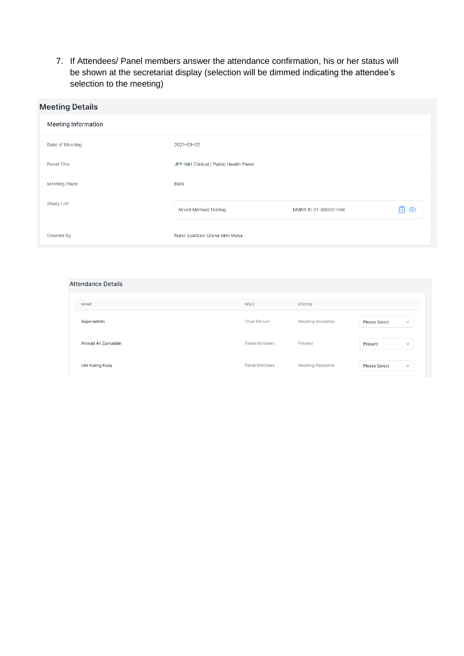7. If Attendees/ Panel members answer the attendance confirmation, his or her status will be shown at the secretariat display (selection will be dimmed indicating the attendee's selection to the meeting)

| <b>Meeting Details</b>     |                                        |                      |     |
|----------------------------|----------------------------------------|----------------------|-----|
| <b>Meeting Information</b> |                                        |                      |     |
| Date of Meeting            | 2021-09-02                             |                      |     |
| <b>Panel Title</b>         | JPP-NIH Clinical / Public Health Panel |                      |     |
| <b>Meeting Place</b>       | BM <sub>6</sub>                        |                      |     |
| <b>Study List</b>          | <b>Mixed Method Testing</b>            | NMRR ID-21-00002-HMI | ∄ ⊙ |
| <b>Created By</b>          | Nurul Syarbani Eliana binti Musa       |                      |     |

#### **Attendance Details**

| <b>NAME</b>           | <b>ROLE</b>          | <b>STATUS</b>            |                                      |
|-----------------------|----------------------|--------------------------|--------------------------------------|
| Superadmin            | <b>Chair Person</b>  | <b>Awaiting Response</b> | <b>Please Select</b><br>$\checkmark$ |
| Ahmad Ali Zainuddin   | <b>Panel Members</b> | Present                  | Present<br>$\checkmark$              |
| <b>Lim Kuang Kuay</b> | <b>Panel Members</b> | <b>Awaiting Response</b> | <b>Please Select</b><br>$\checkmark$ |